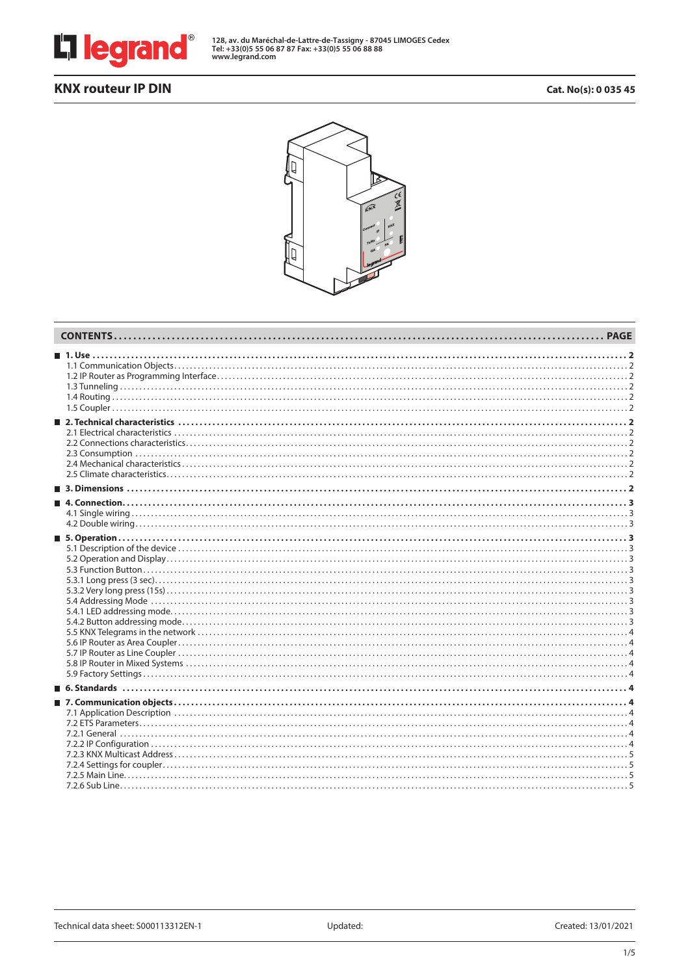

**128, av. du Maréchal-de-Lattre-de-Tassigny - 87045 LIMOGES Cedex Tel: +33(0)5 55 06 87 87 Fax: +33(0)5 55 06 88 88 www.legrand.com**

# **KNX routeur IP DIN Cat. No(s): 0 035 45**

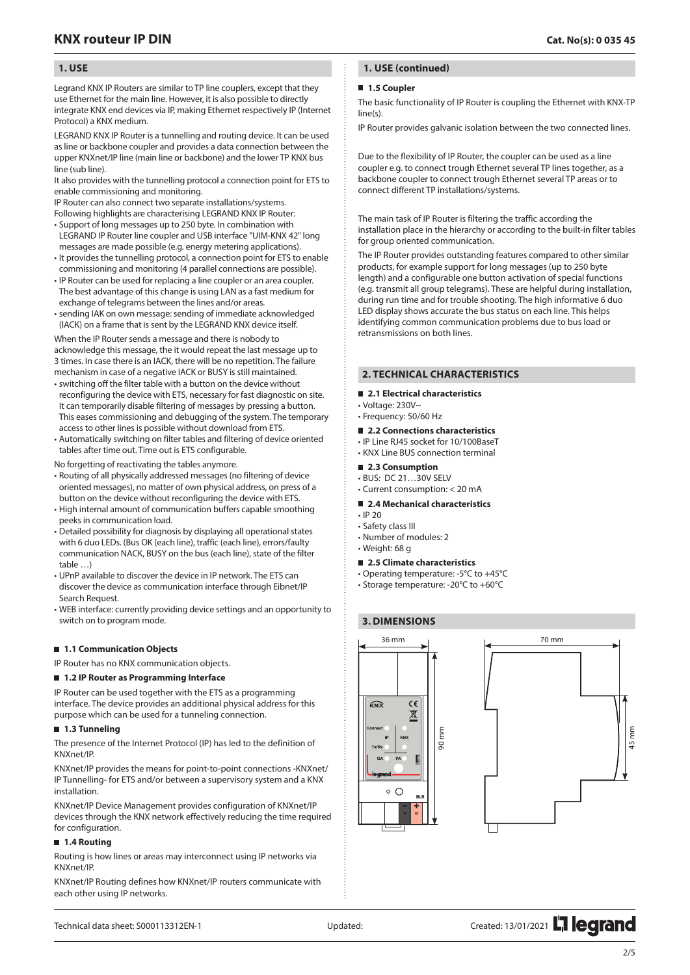## **1. USE**

Legrand KNX IP Routers are similar to TP line couplers, except that they use Ethernet for the main line. However, it is also possible to directly integrate KNX end devices via IP, making Ethernet respectively IP (Internet Protocol) a KNX medium.

LEGRAND KNX IP Router is a tunnelling and routing device. It can be used as line or backbone coupler and provides a data connection between the upper KNXnet/IP line (main line or backbone) and the lower TP KNX bus line (sub line).

It also provides with the tunnelling protocol a connection point for ETS to enable commissioning and monitoring.

IP Router can also connect two separate installations/systems. Following highlights are characterising LEGRAND KNX IP Router:

- Support of long messages up to 250 byte. In combination with LEGRAND IP Router line coupler and USB interface "UIM-KNX 42" long messages are made possible (e.g. energy metering applications).
- It provides the tunnelling protocol, a connection point for ETS to enable commissioning and monitoring (4 parallel connections are possible).
- IP Router can be used for replacing a line coupler or an area coupler. The best advantage of this change is using LAN as a fast medium for exchange of telegrams between the lines and/or areas.
- sending IAK on own message: sending of immediate acknowledged (IACK) on a frame that is sent by the LEGRAND KNX device itself.

When the IP Router sends a message and there is nobody to acknowledge this message, the it would repeat the last message up to 3 times. In case there is an IACK, there will be no repetition. The failure mechanism in case of a negative IACK or BUSY is still maintained.

- switching off the filter table with a button on the device without reconfiguring the device with ETS, necessary for fast diagnostic on site. It can temporarily disable filtering of messages by pressing a button. This eases commissioning and debugging of the system. The temporary access to other lines is possible without download from ETS.
- Automatically switching on filter tables and filtering of device oriented tables after time out. Time out is ETS configurable.

No forgetting of reactivating the tables anymore.

- Routing of all physically addressed messages (no filtering of device oriented messages), no matter of own physical address, on press of a button on the device without reconfiguring the device with ETS.
- High internal amount of communication buffers capable smoothing peeks in communication load.
- Detailed possibility for diagnosis by displaying all operational states with 6 duo LEDs. (Bus OK (each line), traffic (each line), errors/faulty communication NACK, BUSY on the bus (each line), state of the filter table …)
- UPnP available to discover the device in IP network. The ETS can discover the device as communication interface through Eibnet/IP Search Request.
- WEB interface: currently providing device settings and an opportunity to switch on to program mode.

#### ■ 1.1 Communication Objects

IP Router has no KNX communication objects.

#### **1.2 IP Router as Programming Interface**

IP Router can be used together with the ETS as a programming interface. The device provides an additional physical address for this purpose which can be used for a tunneling connection.

#### **1.3 Tunneling**

The presence of the Internet Protocol (IP) has led to the definition of KNXnet/IP.

KNXnet/IP provides the means for point-to-point connections -KNXnet/ IP Tunnelling- for ETS and/or between a supervisory system and a KNX installation.

KNXnet/IP Device Management provides configuration of KNXnet/IP devices through the KNX network effectively reducing the time required for configuration.

### **1.4 Routing**

Routing is how lines or areas may interconnect using IP networks via KNXnet/IP.

KNXnet/IP Routing defines how KNXnet/IP routers communicate with each other using IP networks.

## **1. USE (continued)**

### **1.5 Coupler**

The basic functionality of IP Router is coupling the Ethernet with KNX-TP line(s).

IP Router provides galvanic isolation between the two connected lines.

Due to the flexibility of IP Router, the coupler can be used as a line coupler e.g. to connect trough Ethernet several TP lines together, as a backbone coupler to connect trough Ethernet several TP areas or to connect different TP installations/systems.

The main task of IP Router is filtering the traffic according the installation place in the hierarchy or according to the built-in filter tables for group oriented communication.

The IP Router provides outstanding features compared to other similar products, for example support for long messages (up to 250 byte length) and a configurable one button activation of special functions (e.g. transmit all group telegrams). These are helpful during installation, during run time and for trouble shooting. The high informative 6 duo LED display shows accurate the bus status on each line. This helps identifying common communication problems due to bus load or retransmissions on both lines.

## **2. TECHNICAL CHARACTERISTICS**

### **2.1 Electrical characteristics**

- Voltage: 230V~
- Frequency: 50/60 Hz

## **2.2 Connections characteristics**

• IP Line RJ45 socket for 10/100BaseT • KNX Line BUS connection terminal

### ■ 2.3 Consumption

- BUS: DC 21…30V SELV
- Current consumption: < 20 mA
- 2.4 Mechanical characteristics
- IP 20
- Safety class III
- Number of modules: 2
- Weight: 68 g

#### **2.5 Climate characteristics**

- Operating temperature: -5°C to +45°C
- Storage temperature: -20°C to +60°C

## **3. DIMENSIONS**



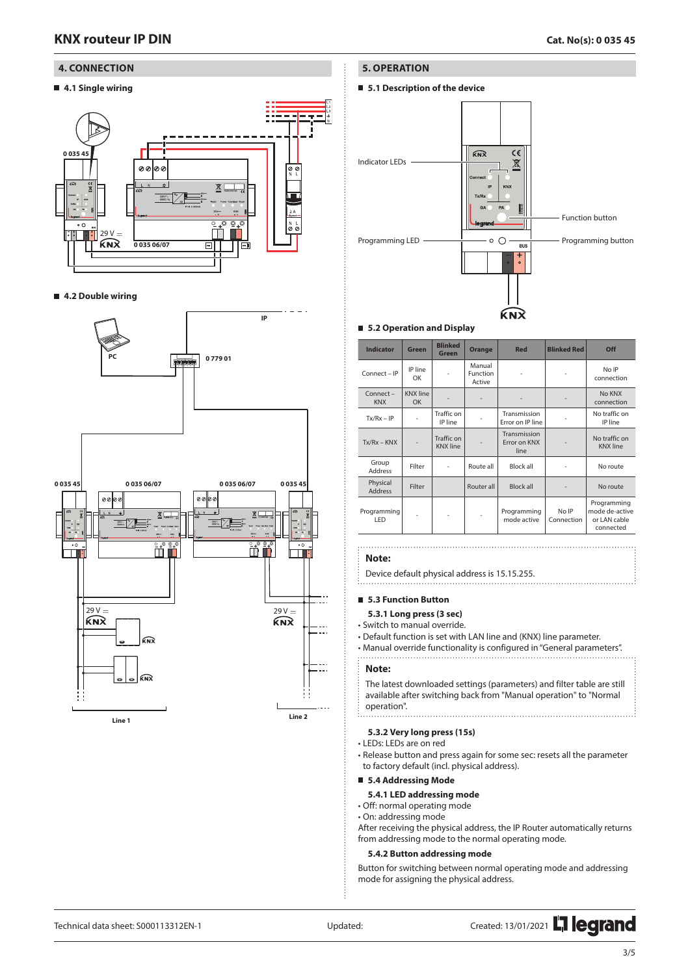### **4. CONNECTION**

## **4.1 Single wiring**



### **4.2 Double wiring**



### **5. OPERATION**

**5.1 Description of the device**



#### **5.2 Operation and Display**

| <b>Indicator</b>           | Green                        | <b>Blinked</b><br><b>Green</b> | Orange                       | <b>Red</b>                           | <b>Blinked Red</b>  | Off                                                        |
|----------------------------|------------------------------|--------------------------------|------------------------------|--------------------------------------|---------------------|------------------------------------------------------------|
| Connect - IP               | IP line<br>OK                | $\overline{\phantom{m}}$       | Manual<br>Function<br>Active |                                      |                     | No IP<br>connection                                        |
| Connect-<br><b>KNX</b>     | <b>KNX</b> line<br><b>OK</b> |                                |                              |                                      |                     | No KNX<br>connection                                       |
| $Tx/Rx - IP$               |                              | Traffic on<br>IP line          |                              | Transmission<br>Error on IP line     |                     | No traffic on<br>IP line                                   |
| $Tx/Rx - KNX$              |                              | Traffic on<br><b>KNX</b> line  |                              | Transmission<br>Error on KNX<br>line |                     | No traffic on<br><b>KNX</b> line                           |
| Group<br><b>Address</b>    | Filter                       | $\overline{\phantom{0}}$       | Route all                    | <b>Block all</b>                     |                     | No route                                                   |
| Physical<br><b>Address</b> | Filter                       |                                | Router all                   | <b>Block all</b>                     |                     | No route                                                   |
| Programming<br>LED         |                              |                                |                              | Programming<br>mode active           | No IP<br>Connection | Programming<br>mode de-active<br>or LAN cable<br>connected |

#### **Note:**

Device default physical address is 15.15.255.

#### **5.3 Function Button**

- **5.3.1 Long press (3 sec)**
- Switch to manual override.
- Default function is set with LAN line and (KNX) line parameter.
- Manual override functionality is configured in "General parameters".

#### **Note:**

The latest downloaded settings (parameters) and filter table are still available after switching back from "Manual operation" to "Normal operation". 

# **5.3.2 Very long press (15s)**

- LEDs: LEDs are on red
- Release button and press again for some sec: resets all the parameter to factory default (incl. physical address).

#### **5.4 Addressing Mode**

### **5.4.1 LED addressing mode**

- Off: normal operating mode
- On: addressing mode

After receiving the physical address, the IP Router automatically returns from addressing mode to the normal operating mode.

#### **5.4.2 Button addressing mode**

Button for switching between normal operating mode and addressing mode for assigning the physical address.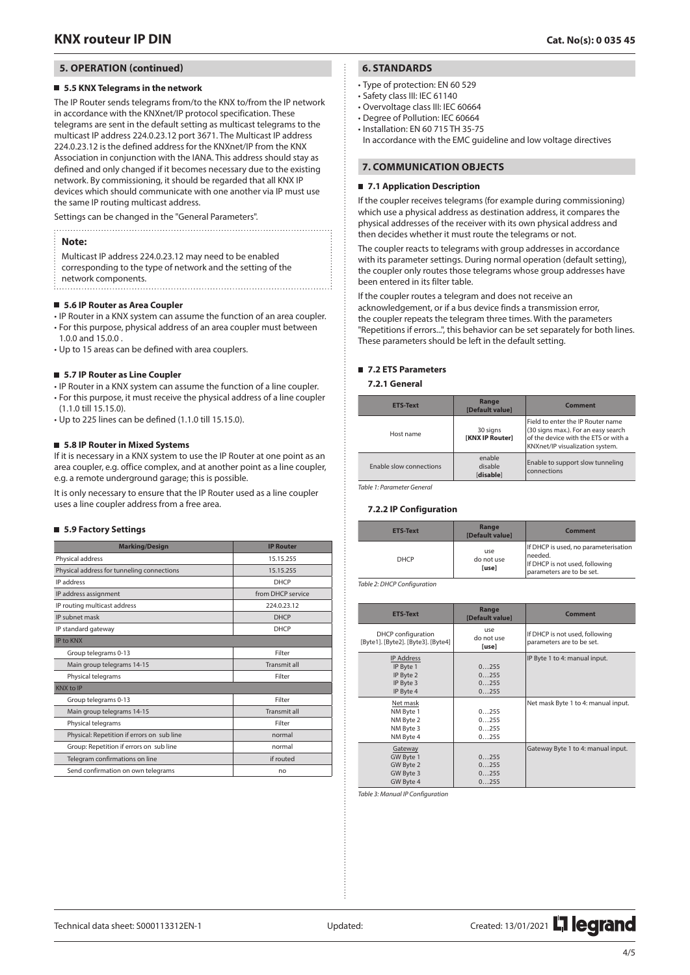### **5. OPERATION (continued)**

#### **5.5 KNX Telegrams in the network**

The IP Router sends telegrams from/to the KNX to/from the IP network in accordance with the KNXnet/IP protocol specification. These telegrams are sent in the default setting as multicast telegrams to the multicast IP address 224.0.23.12 port 3671. The Multicast IP address 224.0.23.12 is the defined address for the KNXnet/IP from the KNX Association in conjunction with the IANA. This address should stay as defined and only changed if it becomes necessary due to the existing network. By commissioning, it should be regarded that all KNX IP devices which should communicate with one another via IP must use the same IP routing multicast address.

Settings can be changed in the "General Parameters". 

### **Note:**

- Multicast IP address 224.0.23.12 may need to be enabled corresponding to the type of network and the setting of the
- network components.

#### **5.6 IP Router as Area Coupler**

• IP Router in a KNX system can assume the function of an area coupler. • For this purpose, physical address of an area coupler must between

- 1.0.0 and 15.0.0 .
- Up to 15 areas can be defined with area couplers.

#### **5.7 IP Router as Line Coupler**

- IP Router in a KNX system can assume the function of a line coupler. • For this purpose, it must receive the physical address of a line coupler
- (1.1.0 till 15.15.0).
- Up to 225 lines can be defined (1.1.0 till 15.15.0).

#### **5.8 IP Router in Mixed Systems**

If it is necessary in a KNX system to use the IP Router at one point as an area coupler, e.g. office complex, and at another point as a line coupler, e.g. a remote underground garage; this is possible.

It is only necessary to ensure that the IP Router used as a line coupler uses a line coupler address from a free area.

#### **5.9 Factory Settings**

| <b>Marking/Design</b>                      | <b>IP Router</b>    |
|--------------------------------------------|---------------------|
| Physical address                           | 15.15.255           |
| Physical address for tunneling connections | 15.15.255           |
| IP address                                 | <b>DHCP</b>         |
| IP address assignment                      | from DHCP service   |
| IP routing multicast address               | 224.0.23.12         |
| IP subnet mask                             | <b>DHCP</b>         |
| IP standard gateway                        | <b>DHCP</b>         |
| <b>IP to KNX</b>                           |                     |
| Group telegrams 0-13                       | Filter              |
| Main group telegrams 14-15                 | <b>Transmit all</b> |
| Physical telegrams                         | Filter              |
| <b>KNX to IP</b>                           |                     |
| Group telegrams 0-13                       | Filter              |
| Main group telegrams 14-15                 | Transmit all        |
| Physical telegrams                         | Filter              |
| Physical: Repetition if errors on sub line | normal              |
| Group: Repetition if errors on sub line    | normal              |
| Telegram confirmations on line             | if routed           |
| Send confirmation on own telegrams         | no                  |

## **6. STANDARDS**

- Type of protection: EN 60 529
- Safety class III: IEC 61140
- Overvoltage class III: IEC 60664
- Degree of Pollution: IEC 60664
- Installation: EN 60 715 TH 35-75

In accordance with the EMC guideline and low voltage directives

### **7. COMMUNICATION OBJECTS**

#### **7.1 Application Description**

If the coupler receives telegrams (for example during commissioning) which use a physical address as destination address, it compares the physical addresses of the receiver with its own physical address and then decides whether it must route the telegrams or not.

The coupler reacts to telegrams with group addresses in accordance with its parameter settings. During normal operation (default setting), the coupler only routes those telegrams whose group addresses have been entered in its filter table.

If the coupler routes a telegram and does not receive an acknowledgement, or if a bus device finds a transmission error, the coupler repeats the telegram three times. With the parameters "Repetitions if errors...", this behavior can be set separately for both lines. These parameters should be left in the default setting.

#### **7.2 ETS Parameters**

**7.2.1 General**

| <b>ETS-Text</b>         | <b>Range</b><br>[Default value]    | Comment                                                                                                                                             |
|-------------------------|------------------------------------|-----------------------------------------------------------------------------------------------------------------------------------------------------|
| Host name               | 30 signs<br><b>IKNX IP Routerl</b> | Field to enter the IP Router name<br>(30 signs max.). For an easy search<br>of the device with the ETS or with a<br>KNXnet/IP visualization system. |
| Enable slow connections | enable<br>disable<br>[disable]     | Enable to support slow tunneling<br>connections                                                                                                     |

*Table 1: Parameter General*

#### **7.2.2 IP Configuration**

| <b>ETS-Text</b> | Range<br>[Default value]   | <b>Comment</b>                                                                                                 |
|-----------------|----------------------------|----------------------------------------------------------------------------------------------------------------|
| <b>DHCP</b>     | use<br>do not use<br>[use] | If DHCP is used, no parameterisation<br>needed.<br>If DHCP is not used, following<br>parameters are to be set. |

*Table 2: DHCP Configuration*

| <b>ETS-Text</b>                                                       | Range<br>[Default value]     | <b>Comment</b>                                              |
|-----------------------------------------------------------------------|------------------------------|-------------------------------------------------------------|
| DHCP configuration<br>[Byte1]. [Byte2]. [Byte3]. [Byte4]              | use<br>do not use<br>[use]   | If DHCP is not used, following<br>parameters are to be set. |
| <b>IP Address</b><br>IP Byte 1<br>IP Byte 2<br>IP Byte 3<br>IP Byte 4 | 0255<br>0255<br>0255<br>0255 | IP Byte 1 to 4: manual input.                               |
| Net mask<br>NM Byte 1<br>NM Byte 2<br>NM Byte 3<br>NM Byte 4          | 0255<br>0255<br>0255<br>0255 | Net mask Byte 1 to 4: manual input.                         |
| Gateway<br>GW Byte 1<br>GW Byte 2<br>GW Byte 3<br>GW Byte 4           | 0255<br>0255<br>0255<br>0255 | Gateway Byte 1 to 4: manual input.                          |

*Table 3: Manual IP Configuration*